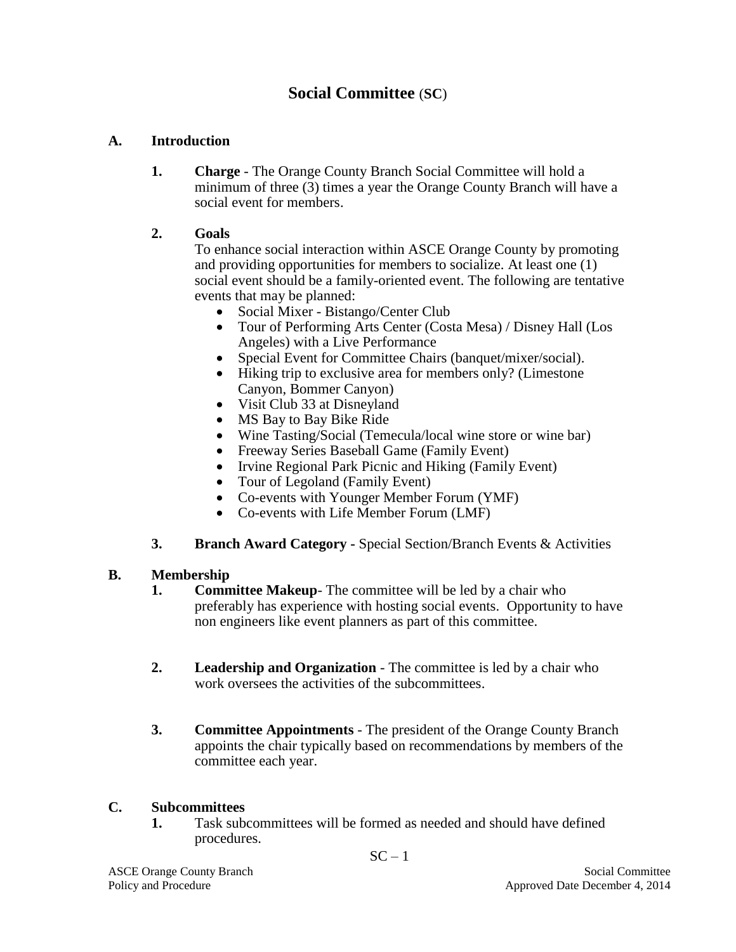# **Social Committee** (**SC**)

### **A. Introduction**

**1. Charge** - The Orange County Branch Social Committee will hold a minimum of three (3) times a year the Orange County Branch will have a social event for members.

#### **2. Goals**

To enhance social interaction within ASCE Orange County by promoting and providing opportunities for members to socialize. At least one (1) social event should be a family-oriented event. The following are tentative events that may be planned:

- Social Mixer Bistango/Center Club
- Tour of Performing Arts Center (Costa Mesa) / Disney Hall (Los Angeles) with a Live Performance
- Special Event for Committee Chairs (banquet/mixer/social).
- Hiking trip to exclusive area for members only? (Limestone Canyon, Bommer Canyon)
- Visit Club 33 at Disneyland
- MS Bay to Bay Bike Ride
- Wine Tasting/Social (Temecula/local wine store or wine bar)
- Freeway Series Baseball Game (Family Event)
- Irvine Regional Park Picnic and Hiking (Family Event)
- Tour of Legoland (Family Event)
- Co-events with Younger Member Forum (YMF)
- Co-events with Life Member Forum (LMF)
- **3. Branch Award Category -** Special Section/Branch Events & Activities

#### **B. Membership**

- **1. Committee Makeup** The committee will be led by a chair who preferably has experience with hosting social events. Opportunity to have non engineers like event planners as part of this committee.
- **2. Leadership and Organization** The committee is led by a chair who work oversees the activities of the subcommittees.
- **3. Committee Appointments** The president of the Orange County Branch appoints the chair typically based on recommendations by members of the committee each year.

#### **C. Subcommittees**

**1.** Task subcommittees will be formed as needed and should have defined procedures.